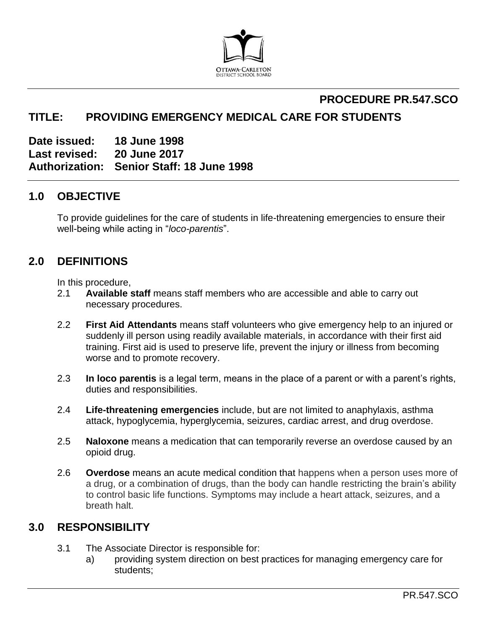

## **PROCEDURE PR.547.SCO TITLE: PROVIDING EMERGENCY MEDICAL CARE FOR STUDENTS**

**Date issued: 18 June 1998 Last revised: 20 June 2017 Authorization: Senior Staff: 18 June 1998**

## **1.0 OBJECTIVE**

To provide guidelines for the care of students in life-threatening emergencies to ensure their well-being while acting in "*loco-parentis*".

## **2.0 DEFINITIONS**

In this procedure,

- 2.1 **Available staff** means staff members who are accessible and able to carry out necessary procedures.
- 2.2 **First Aid Attendants** means staff volunteers who give emergency help to an injured or suddenly ill person using readily available materials, in accordance with their first aid training. First aid is used to preserve life, prevent the injury or illness from becoming worse and to promote recovery.
- 2.3 **In loco parentis** is a legal term, means in the place of a parent or with a parent's rights, duties and responsibilities.
- 2.4 **Life-threatening emergencies** include, but are not limited to anaphylaxis, asthma attack, hypoglycemia, hyperglycemia, seizures, cardiac arrest, and drug overdose.
- 2.5 **Naloxone** means a medication that can temporarily reverse an overdose caused by an opioid drug.
- 2.6 **Overdose** means an acute medical condition that happens when a person uses more of a drug, or a combination of drugs, than the body can handle restricting the brain's ability to control basic life functions. Symptoms may include a heart attack, seizures, and a breath halt.

## **3.0 RESPONSIBILITY**

- 3.1 The Associate Director is responsible for:
	- a) providing system direction on best practices for managing emergency care for students;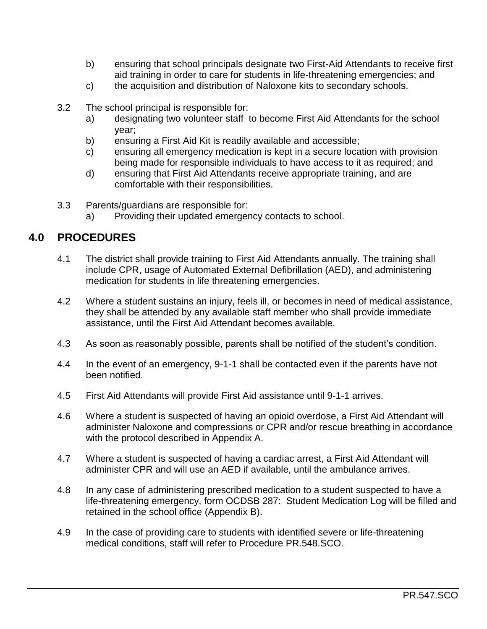- b) ensuring that school principals designate two First-Aid Attendants to receive first aid training in order to care for students in life-threatening emergencies; and
- c) the acquisition and distribution of Naloxone kits to secondary schools.
- 3.2 The school principal is responsible for:
	- a) designating two volunteer staff to become First Aid Attendants for the school year;
	- b) ensuring a First Aid Kit is readily available and accessible;
	- c) ensuring all emergency medication is kept in a secure location with provision being made for responsible individuals to have access to it as required; and
	- d) ensuring that First Aid Attendants receive appropriate training, and are comfortable with their responsibilities.
- 3.3 Parents/guardians are responsible for:
	- a) Providing their updated emergency contacts to school.

## **4.0 PROCEDURES**

- 4.1 The district shall provide training to First Aid Attendants annually. The training shall include CPR, usage of Automated External Defibrillation (AED), and administering medication for students in life threatening emergencies.
- 4.2 Where a student sustains an injury, feels ill, or becomes in need of medical assistance, they shall be attended by any available staff member who shall provide immediate assistance, until the First Aid Attendant becomes available.
- 4.3 As soon as reasonably possible, parents shall be notified of the student's condition.
- 4.4 In the event of an emergency, 9-1-1 shall be contacted even if the parents have not been notified.
- 4.5 First Aid Attendants will provide First Aid assistance until 9-1-1 arrives.
- 4.6 Where a student is suspected of having an opioid overdose, a First Aid Attendant will administer Naloxone and compressions or CPR and/or rescue breathing in accordance with the protocol described in Appendix A.
- 4.7 Where a student is suspected of having a cardiac arrest, a First Aid Attendant will administer CPR and will use an AED if available, until the ambulance arrives.
- 4.8 In any case of administering prescribed medication to a student suspected to have a life-threatening emergency, form OCDSB 287: Student Medication Log will be filled and retained in the school office (Appendix B).
- 4.9 In the case of providing care to students with identified severe or life-threatening medical conditions, staff will refer to Procedure PR.548.SCO.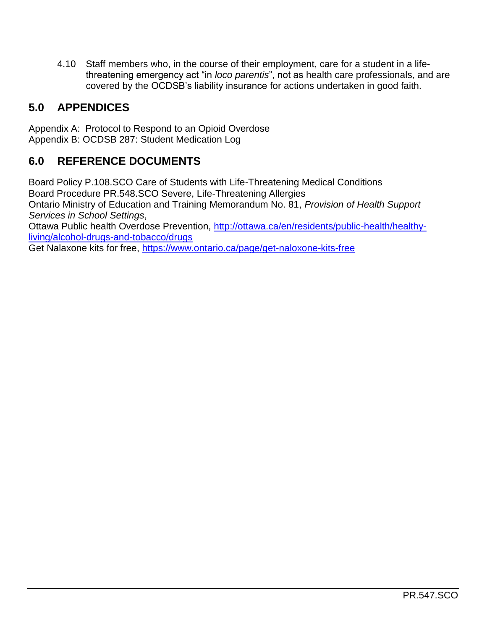4.10 Staff members who, in the course of their employment, care for a student in a lifethreatening emergency act "in *loco parentis*", not as health care professionals, and are covered by the OCDSB's liability insurance for actions undertaken in good faith.

# **5.0 APPENDICES**

Appendix A: Protocol to Respond to an Opioid Overdose Appendix B: OCDSB 287: Student Medication Log

# **6.0 REFERENCE DOCUMENTS**

Board Policy P.108.SCO Care of Students with Life-Threatening Medical Conditions Board Procedure PR.548.SCO Severe, Life-Threatening Allergies Ontario Ministry of Education and Training Memorandum No. 81, *Provision of Health Support Services in School Settings*,

Ottawa Public health Overdose Prevention, [http://ottawa.ca/en/residents/public-health/healthy](http://ottawa.ca/en/residents/public-health/healthy-living/alcohol-drugs-and-tobacco/drugs)[living/alcohol-drugs-and-tobacco/drugs](http://ottawa.ca/en/residents/public-health/healthy-living/alcohol-drugs-and-tobacco/drugs)

Get Nalaxone kits for free, https://www.ontario.ca/page/get-naloxone-kits-free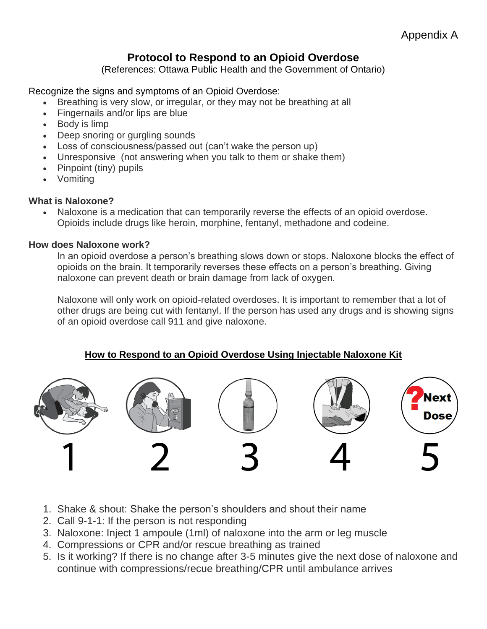# **Protocol to Respond to an Opioid Overdose**

(References: Ottawa Public Health and the Government of Ontario)

Recognize the signs and symptoms of an Opioid Overdose:

- Breathing is very slow, or irregular, or they may not be breathing at all
- Fingernails and/or lips are blue
- Body is limp
- Deep snoring or gurgling sounds
- Loss of consciousness/passed out (can't wake the person up)
- Unresponsive (not answering when you talk to them or shake them)
- Pinpoint (tiny) pupils
- Vomiting

#### **What is Naloxone?**

 Naloxone is a medication that can temporarily reverse the effects of an opioid overdose. Opioids include drugs like heroin, morphine, fentanyl, methadone and codeine.

#### **How does Naloxone work?**

In an opioid overdose a person's breathing slows down or stops. Naloxone blocks the effect of opioids on the brain. It temporarily reverses these effects on a person's breathing. Giving naloxone can prevent death or brain damage from lack of oxygen.

Naloxone will only work on opioid-related overdoses. It is important to remember that a lot of other drugs are being cut with fentanyl. If the person has used any drugs and is showing signs of an opioid overdose call 911 and give naloxone.

#### **How to Respond to an Opioid Overdose Using Injectable Naloxone Kit**



- 1. Shake & shout: Shake the person's shoulders and shout their name
- 2. Call 9-1-1: If the person is not responding
- 3. Naloxone: Inject 1 ampoule (1ml) of naloxone into the arm or leg muscle
- 4. Compressions or CPR and/or rescue breathing as trained
- 5. Is it working? If there is no change after 3-5 minutes give the next dose of naloxone and continue with compressions/recue breathing/CPR until ambulance arrives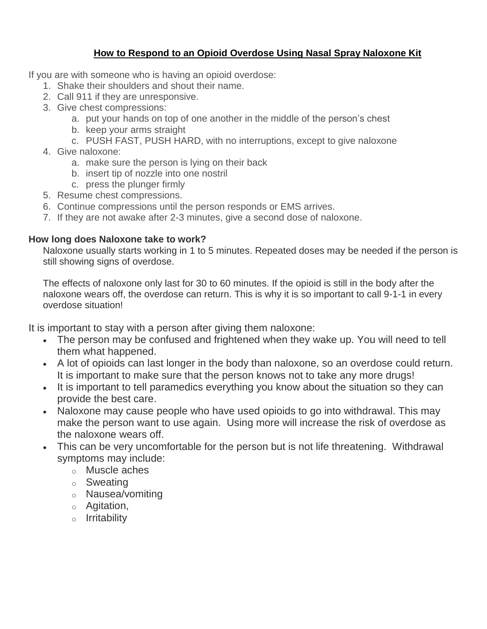### **How to Respond to an Opioid Overdose Using Nasal Spray Naloxone Kit**

If you are with someone who is having an opioid overdose:

- 1. Shake their shoulders and shout their name.
- 2. Call 911 if they are unresponsive.
- 3. Give chest compressions:
	- a. put your hands on top of one another in the middle of the person's chest
	- b. keep your arms straight
		- c. PUSH FAST, PUSH HARD, with no interruptions, except to give naloxone
- 4. Give naloxone:
	- a. make sure the person is lying on their back
	- b. insert tip of nozzle into one nostril
	- c. press the plunger firmly
- 5. Resume chest compressions.
- 6. Continue compressions until the person responds or EMS arrives.
- 7. If they are not awake after 2-3 minutes, give a second dose of naloxone.

#### **How long does Naloxone take to work?**

Naloxone usually starts working in 1 to 5 minutes. Repeated doses may be needed if the person is still showing signs of overdose.

The effects of naloxone only last for 30 to 60 minutes. If the opioid is still in the body after the naloxone wears off, the overdose can return. This is why it is so important to call 9-1-1 in every overdose situation!

It is important to stay with a person after giving them naloxone:

- The person may be confused and frightened when they wake up. You will need to tell them what happened.
- A lot of opioids can last longer in the body than naloxone, so an overdose could return. It is important to make sure that the person knows not to take any more drugs!
- It is important to tell paramedics everything you know about the situation so they can provide the best care.
- Naloxone may cause people who have used opioids to go into withdrawal. This may make the person want to use again. Using more will increase the risk of overdose as the naloxone wears off.
- This can be very uncomfortable for the person but is not life threatening. Withdrawal symptoms may include:
	- o Muscle aches
	- o Sweating
	- o Nausea/vomiting
	- o Agitation,
	- o Irritability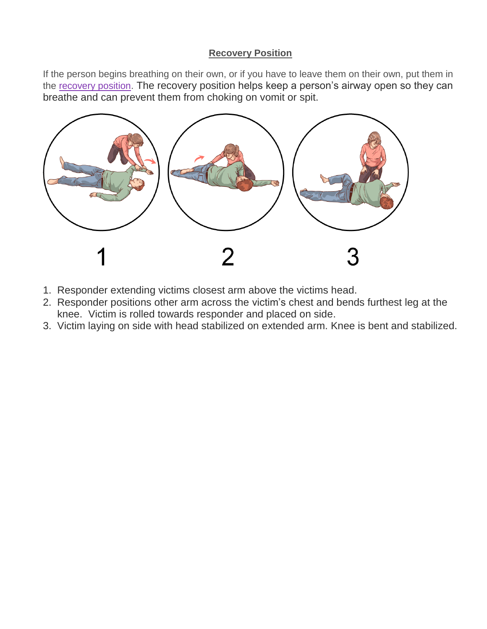#### **Recovery Position**

If the person begins breathing on their own, or if you have to leave them on their own, put them in the [recovery position.](https://www.ontario.ca/page/get-naloxone-kits-free#recovery_position) The recovery position helps keep a person's airway open so they can breathe and can prevent them from choking on vomit or spit.



- 1. Responder extending victims closest arm above the victims head.
- 2. Responder positions other arm across the victim's chest and bends furthest leg at the knee. Victim is rolled towards responder and placed on side.
- 3. Victim laying on side with head stabilized on extended arm. Knee is bent and stabilized.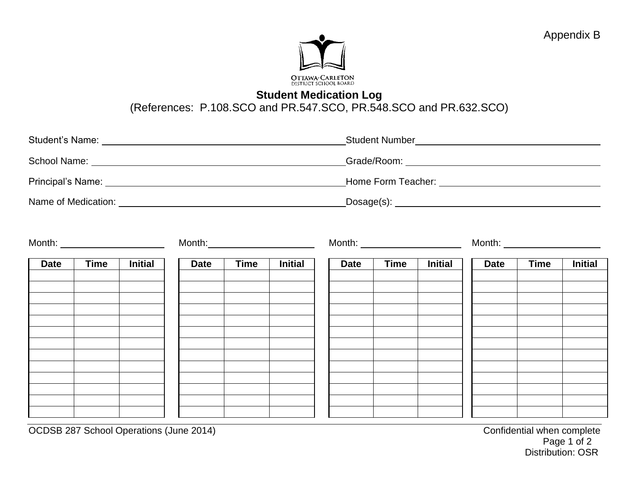### **Student Medication Log**

(References: P.108.SCO and PR.547.SCO, PR.548.SCO and PR.632.SCO)

|                     | <b>Student Number</b>                   |
|---------------------|-----------------------------------------|
|                     | Grade/Room: ___________________________ |
|                     |                                         |
| Name of Medication: | $Dosage(s)$ :                           |

| Month: __________________________ |             |                | Month:      |             |                | Month: ________________________ |             |                | Month: ______________________ |             |                |
|-----------------------------------|-------------|----------------|-------------|-------------|----------------|---------------------------------|-------------|----------------|-------------------------------|-------------|----------------|
| <b>Date</b>                       | <b>Time</b> | <b>Initial</b> | <b>Date</b> | <b>Time</b> | <b>Initial</b> | <b>Date</b>                     | <b>Time</b> | <b>Initial</b> | <b>Date</b>                   | <b>Time</b> | <b>Initial</b> |
|                                   |             |                |             |             |                |                                 |             |                |                               |             |                |
|                                   |             |                |             |             |                |                                 |             |                |                               |             |                |
|                                   |             |                |             |             |                |                                 |             |                |                               |             |                |
|                                   |             |                |             |             |                |                                 |             |                |                               |             |                |
|                                   |             |                |             |             |                |                                 |             |                |                               |             |                |
|                                   |             |                |             |             |                |                                 |             |                |                               |             |                |

OCDSB 287 School Operations (June 2014)<br>Page 1 of 2 Page 1 of 2 Distribution: OSR